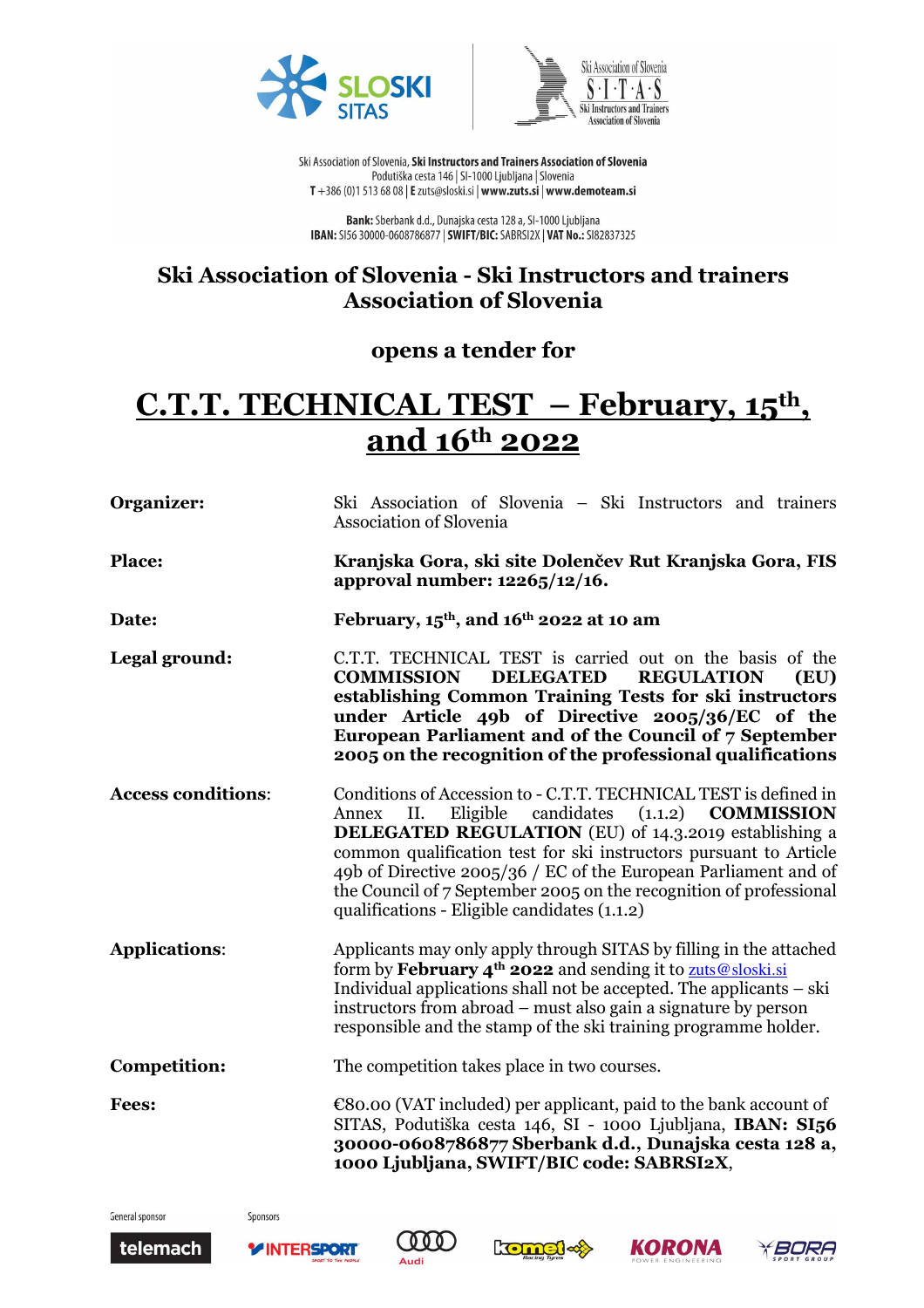



Ski Association of Slovenia, Ski Instructors and Trainers Association of Slovenia Podutiška cesta 146 | SI-1000 Ljubljana | Slovenia T +386 (0)1 513 68 08 | E zuts@sloski.si | www.zuts.si | www.demoteam.si

Bank: Sberbank d.d., Dunajska cesta 128 a, SI-1000 Ljubljana **IBAN:** SI56 30000-0608786877 | SWIFT/BIC: SABRSI2X | VAT No.: SI82837325

## **Ski Association of Slovenia - Ski Instructors and trainers Association of Slovenia**

## **opens a tender for**

## **C.T.T. TECHNICAL TEST – February, 15th , and 16th 2022**

| Organizer:                | Ski Association of Slovenia – Ski Instructors and trainers<br><b>Association of Slovenia</b>                                                                                                                                                                                                                                                                                                                                                                             |
|---------------------------|--------------------------------------------------------------------------------------------------------------------------------------------------------------------------------------------------------------------------------------------------------------------------------------------------------------------------------------------------------------------------------------------------------------------------------------------------------------------------|
| Place:                    | Kranjska Gora, ski site Dolenčev Rut Kranjska Gora, FIS<br>approval number: 12265/12/16.                                                                                                                                                                                                                                                                                                                                                                                 |
| Date:                     | February, $15th$ , and $16th$ 2022 at 10 am                                                                                                                                                                                                                                                                                                                                                                                                                              |
| Legal ground:             | C.T.T. TECHNICAL TEST is carried out on the basis of the<br><b>DELEGATED</b><br><b>REGULATION</b><br><b>COMMISSION</b><br>(EU)<br>establishing Common Training Tests for ski instructors<br>under Article 49b of Directive 2005/36/EC of the<br>European Parliament and of the Council of 7 September<br>2005 on the recognition of the professional qualifications                                                                                                      |
| <b>Access conditions:</b> | Conditions of Accession to - C.T.T. TECHNICAL TEST is defined in<br>(1.1.2)<br>Eligible<br>candidates<br><b>COMMISSION</b><br>Annex<br>II.<br><b>DELEGATED REGULATION</b> (EU) of 14.3.2019 establishing a<br>common qualification test for ski instructors pursuant to Article<br>49b of Directive 2005/36 / EC of the European Parliament and of<br>the Council of 7 September 2005 on the recognition of professional<br>qualifications - Eligible candidates (1.1.2) |
| <b>Applications:</b>      | Applicants may only apply through SITAS by filling in the attached<br>form by February $4^{\text{th}}$ 2022 and sending it to zuts @sloski.si<br>Individual applications shall not be accepted. The applicants – ski<br>instructors from abroad – must also gain a signature by person<br>responsible and the stamp of the ski training programme holder.                                                                                                                |
| <b>Competition:</b>       | The competition takes place in two courses.                                                                                                                                                                                                                                                                                                                                                                                                                              |
| <b>Fees:</b>              | $\epsilon$ 80.00 (VAT included) per applicant, paid to the bank account of<br>SITAS, Podutiška cesta 146, SI - 1000 Ljubljana, IBAN: SI56<br>30000-0608786877 Sberbank d.d., Dunajska cesta 128 a,<br>1000 Ljubljana, SWIFT/BIC code: SABRSI2X,                                                                                                                                                                                                                          |

General sponsor

Sponsors